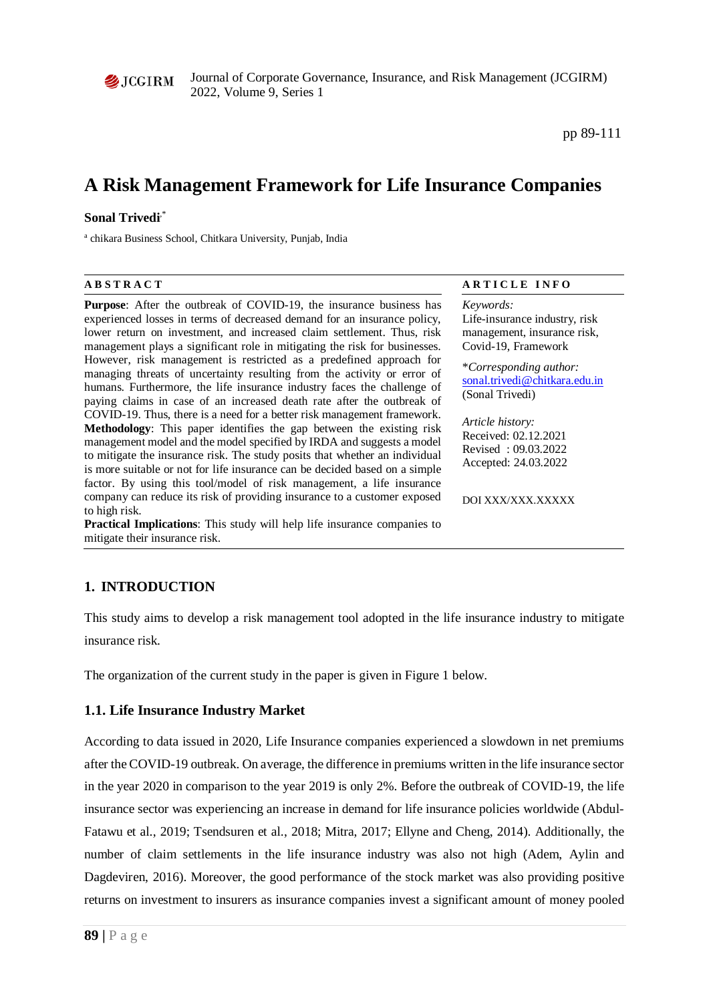

Journal of Corporate Governance, Insurance, and Risk Management (JCGIRM) 2022, Volume 9, Series 1

pp 89-111

# **A Risk Management Framework for Life Insurance Companies**

#### **Sonal Trivedi**,\*

<sup>a</sup> chikara Business School, Chitkara University, Punjab, India

**Purpose**: After the outbreak of COVID-19, the insurance business has experienced losses in terms of decreased demand for an insurance policy, lower return on investment, and increased claim settlement. Thus, risk management plays a significant role in mitigating the risk for businesses. However, risk management is restricted as a predefined approach for managing threats of uncertainty resulting from the activity or error of humans. Furthermore, the life insurance industry faces the challenge of paying claims in case of an increased death rate after the outbreak of COVID-19. Thus, there is a need for a better risk management framework. **Methodology**: This paper identifies the gap between the existing risk management model and the model specified by IRDA and suggests a model to mitigate the insurance risk. The study posits that whether an individual is more suitable or not for life insurance can be decided based on a simple factor. By using this tool/model of risk management, a life insurance company can reduce its risk of providing insurance to a customer exposed to high risk.

**Practical Implications**: This study will help life insurance companies to mitigate their insurance risk.

#### **A B S T R A C T A R T I C L E I N F O**

#### *Keywords:*

Life-insurance industry, risk management, insurance risk, Covid-19, Framework

\**Corresponding author:*  [sonal.trivedi@chitkara.edu.in](mailto:sonal.trivedi@chitkara.edu.in) (Sonal Trivedi)

*Article history:*  Received: 02.12.2021 Revised : 09.03.2022 Accepted: 24.03.2022

DOI XXX/XXX.XXXXX

# **1. INTRODUCTION**

This study aims to develop a risk management tool adopted in the life insurance industry to mitigate insurance risk.

The organization of the current study in the paper is given in Figure 1 below.

### **1.1. Life Insurance Industry Market**

According to data issued in 2020, Life Insurance companies experienced a slowdown in net premiums after the COVID-19 outbreak. On average, the difference in premiums written in the life insurance sector in the year 2020 in comparison to the year 2019 is only 2%. Before the outbreak of COVID-19, the life insurance sector was experiencing an increase in demand for life insurance policies worldwide (Abdul-Fatawu et al., 2019; Tsendsuren et al., 2018; Mitra, 2017; Ellyne and Cheng, 2014). Additionally, the number of claim settlements in the life insurance industry was also not high (Adem, Aylin and Dagdeviren, 2016). Moreover, the good performance of the stock market was also providing positive returns on investment to insurers as insurance companies invest a significant amount of money pooled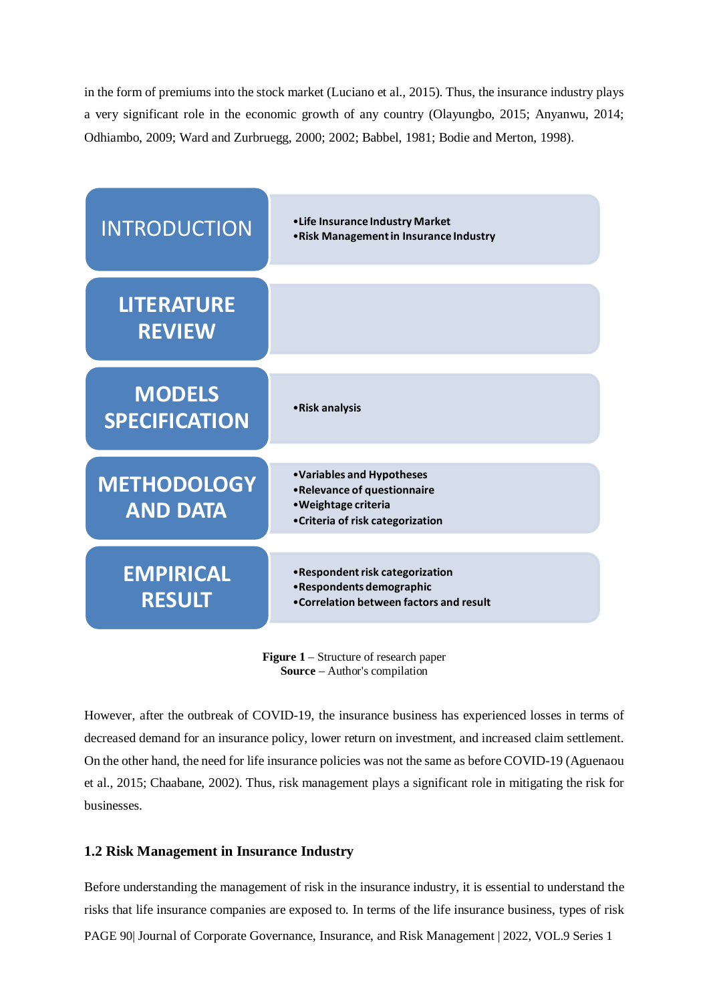in the form of premiums into the stock market (Luciano et al., 2015). Thus, the insurance industry plays a very significant role in the economic growth of any country (Olayungbo, 2015; Anyanwu, 2014; Odhiambo, 2009; Ward and Zurbruegg, 2000; 2002; Babbel, 1981; Bodie and Merton, 1998).



**Figure 1** – Structure of research paper **Source** – Author's compilation

However, after the outbreak of COVID-19, the insurance business has experienced losses in terms of decreased demand for an insurance policy, lower return on investment, and increased claim settlement. On the other hand, the need for life insurance policies was not the same as before COVID-19 (Aguenaou et al., 2015; Chaabane, 2002). Thus, risk management plays a significant role in mitigating the risk for businesses.

# **1.2 Risk Management in Insurance Industry**

PAGE 90| Journal of Corporate Governance, Insurance, and Risk Management | 2022, VOL.9 Series 1 Before understanding the management of risk in the insurance industry, it is essential to understand the risks that life insurance companies are exposed to. In terms of the life insurance business, types of risk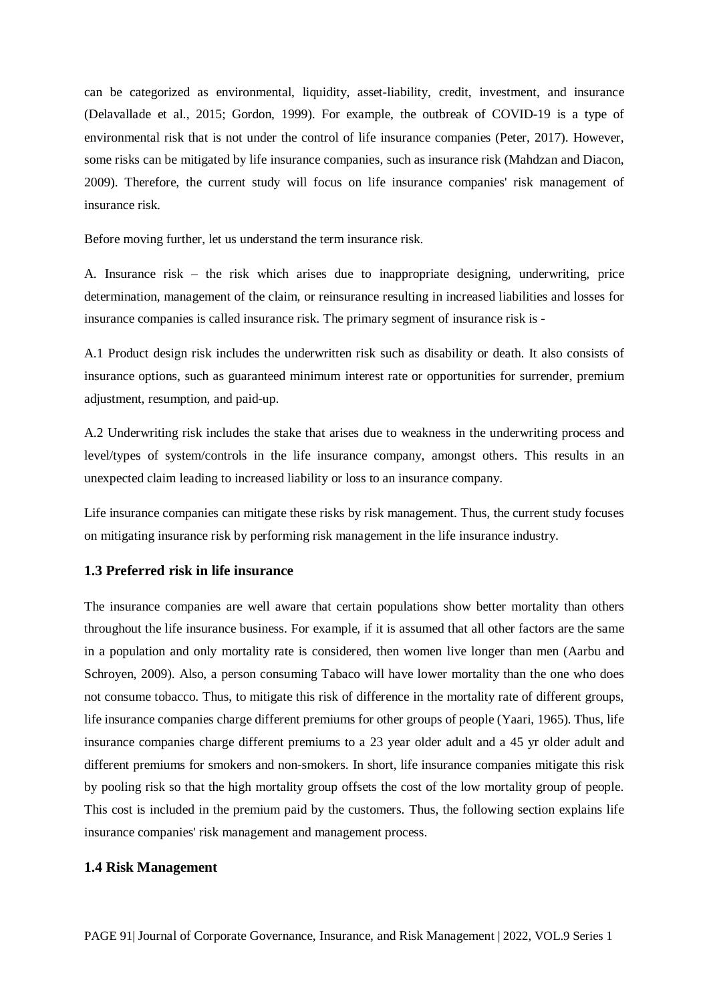can be categorized as environmental, liquidity, asset-liability, credit, investment, and insurance (Delavallade et al., 2015; Gordon, 1999). For example, the outbreak of COVID-19 is a type of environmental risk that is not under the control of life insurance companies (Peter, 2017). However, some risks can be mitigated by life insurance companies, such as insurance risk (Mahdzan and Diacon, 2009). Therefore, the current study will focus on life insurance companies' risk management of insurance risk.

Before moving further, let us understand the term insurance risk.

A. Insurance risk – the risk which arises due to inappropriate designing, underwriting, price determination, management of the claim, or reinsurance resulting in increased liabilities and losses for insurance companies is called insurance risk. The primary segment of insurance risk is -

A.1 Product design risk includes the underwritten risk such as disability or death. It also consists of insurance options, such as guaranteed minimum interest rate or opportunities for surrender, premium adjustment, resumption, and paid-up.

A.2 Underwriting risk includes the stake that arises due to weakness in the underwriting process and level/types of system/controls in the life insurance company, amongst others. This results in an unexpected claim leading to increased liability or loss to an insurance company.

Life insurance companies can mitigate these risks by risk management. Thus, the current study focuses on mitigating insurance risk by performing risk management in the life insurance industry.

### **1.3 Preferred risk in life insurance**

The insurance companies are well aware that certain populations show better mortality than others throughout the life insurance business. For example, if it is assumed that all other factors are the same in a population and only mortality rate is considered, then women live longer than men (Aarbu and Schroyen, 2009). Also, a person consuming Tabaco will have lower mortality than the one who does not consume tobacco. Thus, to mitigate this risk of difference in the mortality rate of different groups, life insurance companies charge different premiums for other groups of people (Yaari, 1965). Thus, life insurance companies charge different premiums to a 23 year older adult and a 45 yr older adult and different premiums for smokers and non-smokers. In short, life insurance companies mitigate this risk by pooling risk so that the high mortality group offsets the cost of the low mortality group of people. This cost is included in the premium paid by the customers. Thus, the following section explains life insurance companies' risk management and management process.

#### **1.4 Risk Management**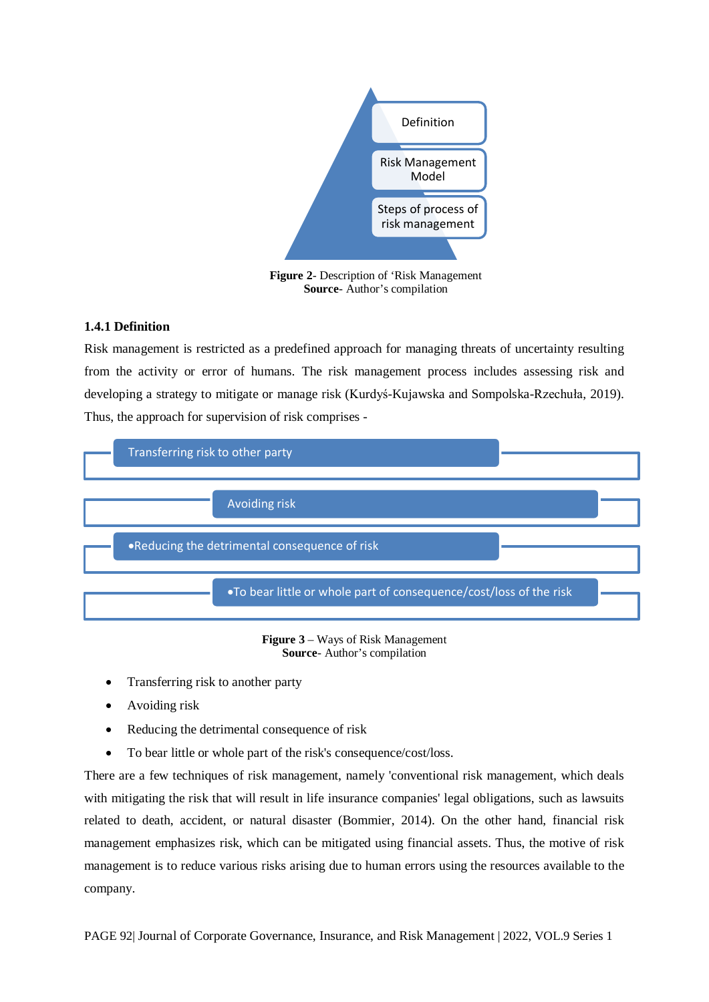

**Figure 2**- Description of 'Risk Management **Source**- Author's compilation

#### **1.4.1 Definition**

Risk management is restricted as a predefined approach for managing threats of uncertainty resulting from the activity or error of humans. The risk management process includes assessing risk and developing a strategy to mitigate or manage risk (Kurdyś-Kujawska and Sompolska-Rzechuła, 2019). Thus, the approach for supervision of risk comprises -





- Transferring risk to another party
- Avoiding risk
- Reducing the detrimental consequence of risk
- To bear little or whole part of the risk's consequence/cost/loss.

There are a few techniques of risk management, namely 'conventional risk management, which deals with mitigating the risk that will result in life insurance companies' legal obligations, such as lawsuits related to death, accident, or natural disaster (Bommier, 2014). On the other hand, financial risk management emphasizes risk, which can be mitigated using financial assets. Thus, the motive of risk management is to reduce various risks arising due to human errors using the resources available to the company.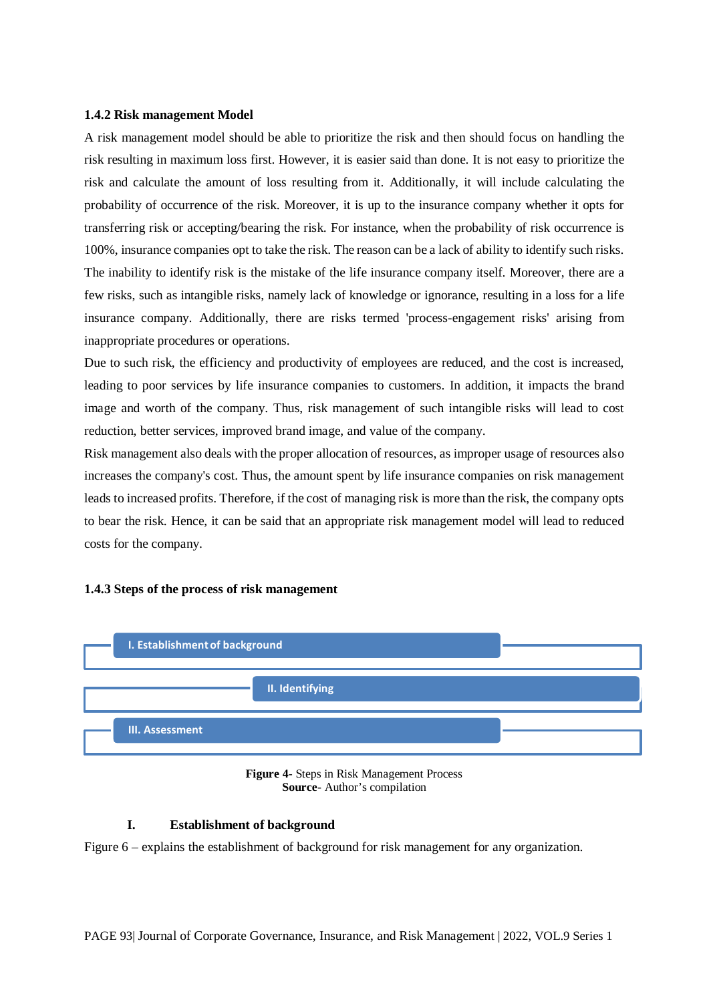#### **1.4.2 Risk management Model**

A risk management model should be able to prioritize the risk and then should focus on handling the risk resulting in maximum loss first. However, it is easier said than done. It is not easy to prioritize the risk and calculate the amount of loss resulting from it. Additionally, it will include calculating the probability of occurrence of the risk. Moreover, it is up to the insurance company whether it opts for transferring risk or accepting/bearing the risk. For instance, when the probability of risk occurrence is 100%, insurance companies opt to take the risk. The reason can be a lack of ability to identify such risks. The inability to identify risk is the mistake of the life insurance company itself. Moreover, there are a few risks, such as intangible risks, namely lack of knowledge or ignorance, resulting in a loss for a life insurance company. Additionally, there are risks termed 'process-engagement risks' arising from inappropriate procedures or operations.

Due to such risk, the efficiency and productivity of employees are reduced, and the cost is increased, leading to poor services by life insurance companies to customers. In addition, it impacts the brand image and worth of the company. Thus, risk management of such intangible risks will lead to cost reduction, better services, improved brand image, and value of the company.

Risk management also deals with the proper allocation of resources, as improper usage of resources also increases the company's cost. Thus, the amount spent by life insurance companies on risk management leads to increased profits. Therefore, if the cost of managing risk is more than the risk, the company opts to bear the risk. Hence, it can be said that an appropriate risk management model will lead to reduced costs for the company.

#### **1.4.3 Steps of the process of risk management**





#### **I. Establishment of background**

Figure 6 – explains the establishment of background for risk management for any organization.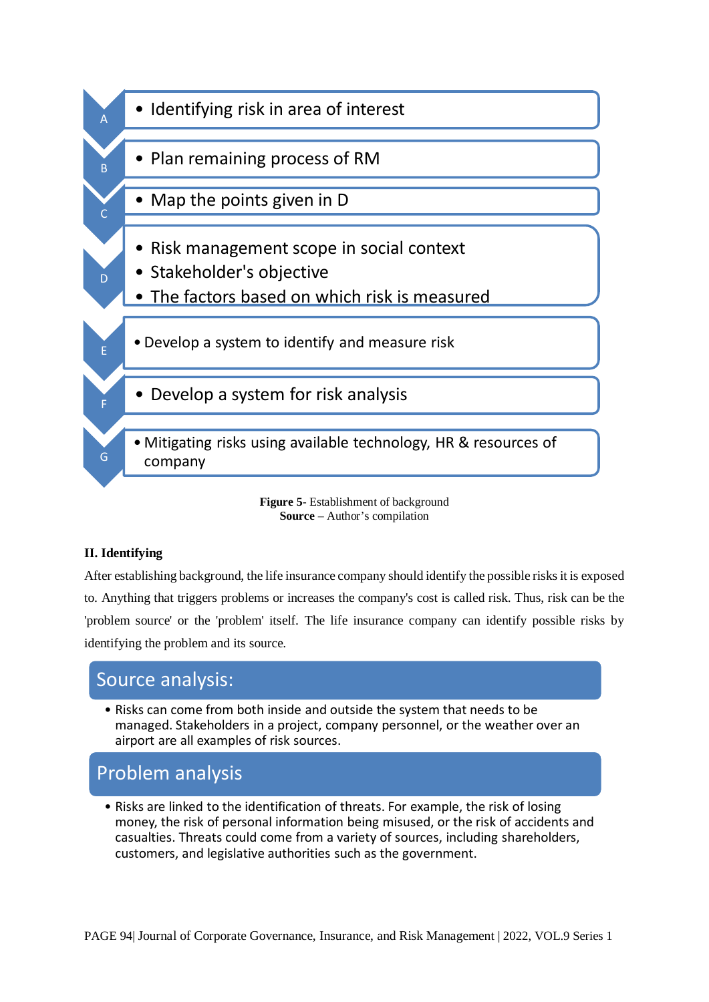

**Figure 5**- Establishment of background **Source** – Author's compilation

### **II. Identifying**

After establishing background, the life insurance company should identify the possible risks it is exposed to. Anything that triggers problems or increases the company's cost is called risk. Thus, risk can be the 'problem source' or the 'problem' itself. The life insurance company can identify possible risks by identifying the problem and its source.

# Source analysis:

• Risks can come from both inside and outside the system that needs to be managed. Stakeholders in a project, company personnel, or the weather over an airport are all examples of risk sources.

# Problem analysis

• Risks are linked to the identification of threats. For example, the risk of losing money, the risk of personal information being misused, or the risk of accidents and casualties. Threats could come from a variety of sources, including shareholders, customers, and legislative authorities such as the government.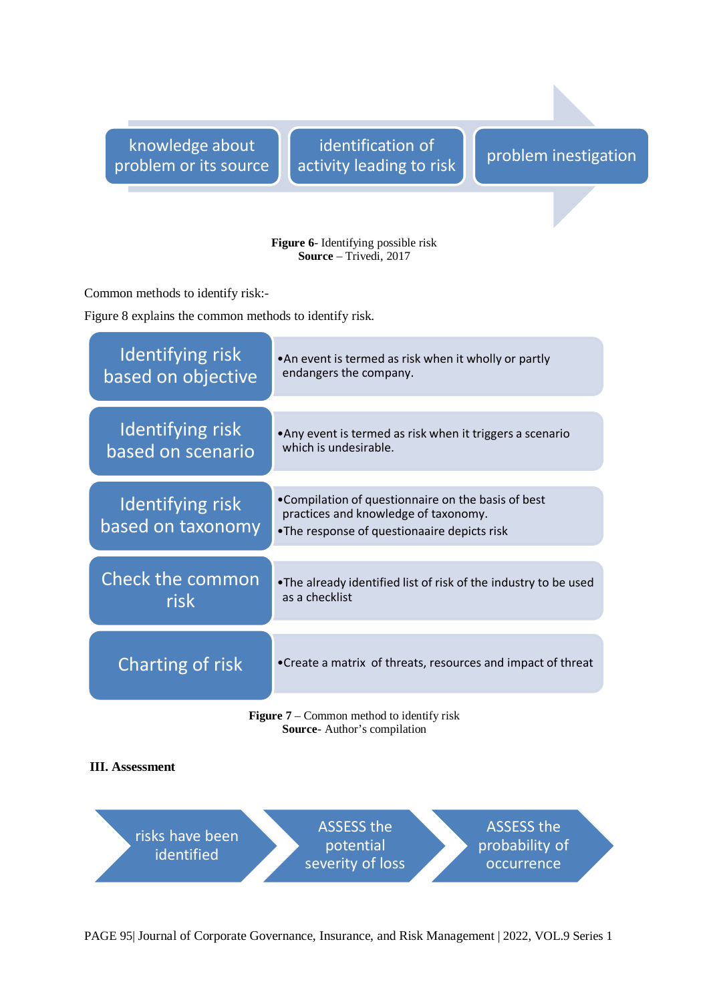knowledge about problem or its source

identification of identification of<br>activity leading to risk problem inestigation

#### **Figure 6**- Identifying possible risk **Source** – Trivedi, 2017

Common methods to identify risk:-

Figure 8 explains the common methods to identify risk.

| Identifying risk<br>based on objective           | . An event is termed as risk when it wholly or partly<br>endangers the company.                                                           |  |  |
|--------------------------------------------------|-------------------------------------------------------------------------------------------------------------------------------------------|--|--|
|                                                  |                                                                                                                                           |  |  |
| <b>Identifying risk</b><br>based on scenario     | • Any event is termed as risk when it triggers a scenario<br>which is undesirable.                                                        |  |  |
|                                                  |                                                                                                                                           |  |  |
| Identifying risk<br>based on taxonomy            | •Compilation of questionnaire on the basis of best<br>practices and knowledge of taxonomy.<br>•The response of questionaaire depicts risk |  |  |
|                                                  |                                                                                                                                           |  |  |
| <b>Check the common</b><br>risk                  | •The already identified list of risk of the industry to be used<br>as a checklist                                                         |  |  |
|                                                  |                                                                                                                                           |  |  |
| Charting of risk                                 | • Create a matrix of threats, resources and impact of threat                                                                              |  |  |
| <b>Figure 7</b> – Common method to identify risk |                                                                                                                                           |  |  |

**Source**- Author's compilation

#### **III. Assessment**



PAGE 95| Journal of Corporate Governance, Insurance, and Risk Management | 2022, VOL.9 Series 1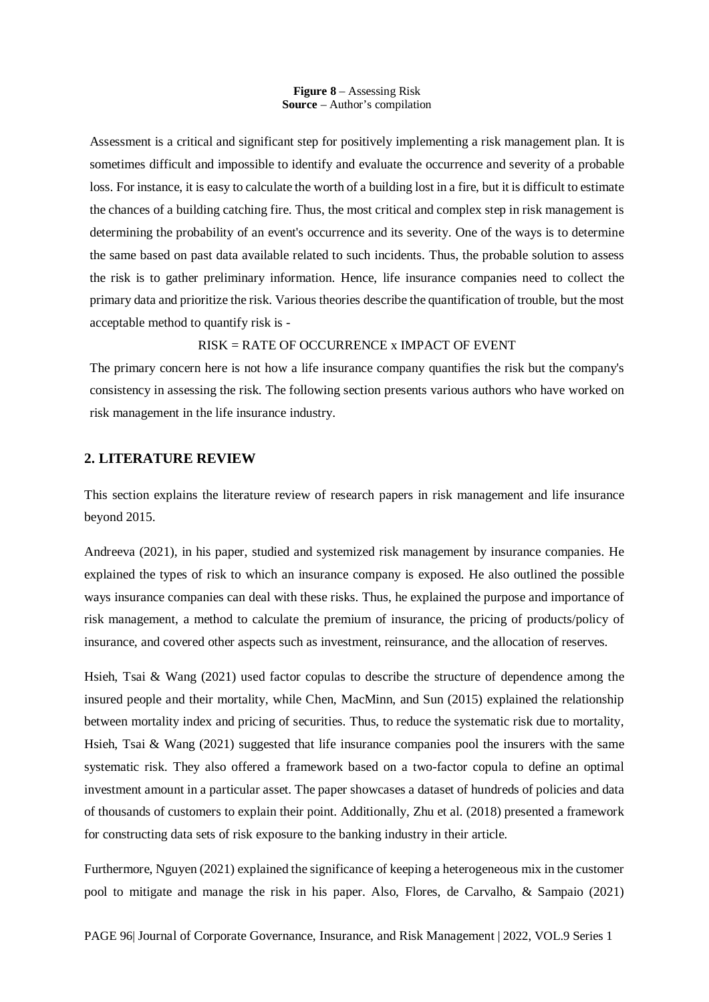**Figure 8** – Assessing Risk **Source** – Author's compilation

Assessment is a critical and significant step for positively implementing a risk management plan. It is sometimes difficult and impossible to identify and evaluate the occurrence and severity of a probable loss. For instance, it is easy to calculate the worth of a building lost in a fire, but it is difficult to estimate the chances of a building catching fire. Thus, the most critical and complex step in risk management is determining the probability of an event's occurrence and its severity. One of the ways is to determine the same based on past data available related to such incidents. Thus, the probable solution to assess the risk is to gather preliminary information. Hence, life insurance companies need to collect the primary data and prioritize the risk. Various theories describe the quantification of trouble, but the most acceptable method to quantify risk is -

#### RISK = RATE OF OCCURRENCE x IMPACT OF EVENT

The primary concern here is not how a life insurance company quantifies the risk but the company's consistency in assessing the risk. The following section presents various authors who have worked on risk management in the life insurance industry.

#### **2. LITERATURE REVIEW**

This section explains the literature review of research papers in risk management and life insurance beyond 2015.

Andreeva (2021), in his paper, studied and systemized risk management by insurance companies. He explained the types of risk to which an insurance company is exposed. He also outlined the possible ways insurance companies can deal with these risks. Thus, he explained the purpose and importance of risk management, a method to calculate the premium of insurance, the pricing of products/policy of insurance, and covered other aspects such as investment, reinsurance, and the allocation of reserves.

Hsieh, Tsai & Wang (2021) used factor copulas to describe the structure of dependence among the insured people and their mortality, while Chen, MacMinn, and Sun (2015) explained the relationship between mortality index and pricing of securities. Thus, to reduce the systematic risk due to mortality, Hsieh, Tsai & Wang (2021) suggested that life insurance companies pool the insurers with the same systematic risk. They also offered a framework based on a two-factor copula to define an optimal investment amount in a particular asset. The paper showcases a dataset of hundreds of policies and data of thousands of customers to explain their point. Additionally, Zhu et al. (2018) presented a framework for constructing data sets of risk exposure to the banking industry in their article.

Furthermore, Nguyen (2021) explained the significance of keeping a heterogeneous mix in the customer pool to mitigate and manage the risk in his paper. Also, Flores, de Carvalho, & Sampaio (2021)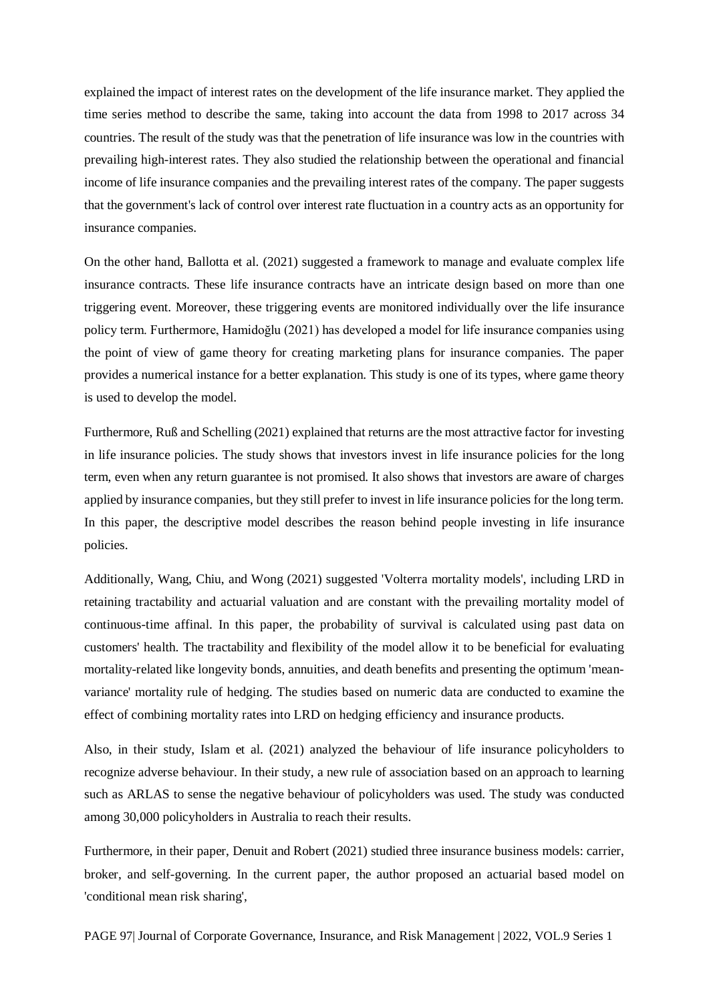explained the impact of interest rates on the development of the life insurance market. They applied the time series method to describe the same, taking into account the data from 1998 to 2017 across 34 countries. The result of the study was that the penetration of life insurance was low in the countries with prevailing high-interest rates. They also studied the relationship between the operational and financial income of life insurance companies and the prevailing interest rates of the company. The paper suggests that the government's lack of control over interest rate fluctuation in a country acts as an opportunity for insurance companies.

On the other hand, Ballotta et al. (2021) suggested a framework to manage and evaluate complex life insurance contracts. These life insurance contracts have an intricate design based on more than one triggering event. Moreover, these triggering events are monitored individually over the life insurance policy term. Furthermore, Hamidoğlu (2021) has developed a model for life insurance companies using the point of view of game theory for creating marketing plans for insurance companies. The paper provides a numerical instance for a better explanation. This study is one of its types, where game theory is used to develop the model.

Furthermore, Ruß and Schelling (2021) explained that returns are the most attractive factor for investing in life insurance policies. The study shows that investors invest in life insurance policies for the long term, even when any return guarantee is not promised. It also shows that investors are aware of charges applied by insurance companies, but they still prefer to invest in life insurance policies for the long term. In this paper, the descriptive model describes the reason behind people investing in life insurance policies.

Additionally, Wang, Chiu, and Wong (2021) suggested 'Volterra mortality models', including LRD in retaining tractability and actuarial valuation and are constant with the prevailing mortality model of continuous-time affinal. In this paper, the probability of survival is calculated using past data on customers' health. The tractability and flexibility of the model allow it to be beneficial for evaluating mortality-related like longevity bonds, annuities, and death benefits and presenting the optimum 'meanvariance' mortality rule of hedging. The studies based on numeric data are conducted to examine the effect of combining mortality rates into LRD on hedging efficiency and insurance products.

Also, in their study, Islam et al. (2021) analyzed the behaviour of life insurance policyholders to recognize adverse behaviour. In their study, a new rule of association based on an approach to learning such as ARLAS to sense the negative behaviour of policyholders was used. The study was conducted among 30,000 policyholders in Australia to reach their results.

Furthermore, in their paper, Denuit and Robert (2021) studied three insurance business models: carrier, broker, and self-governing. In the current paper, the author proposed an actuarial based model on 'conditional mean risk sharing',

PAGE 97| Journal of Corporate Governance, Insurance, and Risk Management | 2022, VOL.9 Series 1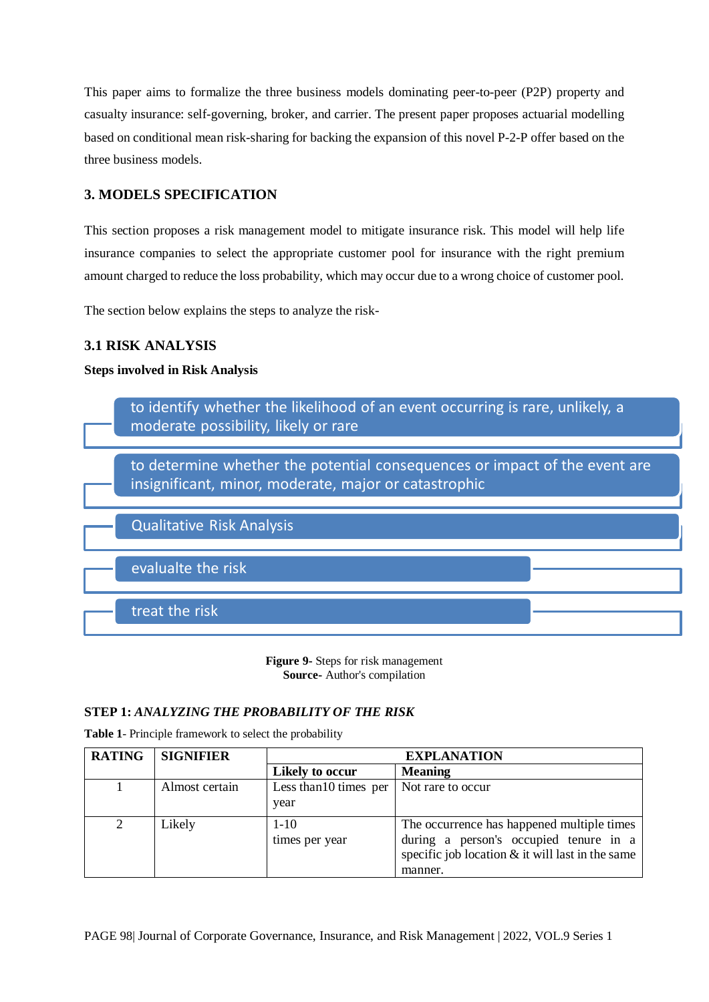This paper aims to formalize the three business models dominating peer-to-peer (P2P) property and casualty insurance: self-governing, broker, and carrier. The present paper proposes actuarial modelling based on conditional mean risk-sharing for backing the expansion of this novel P-2-P offer based on the three business models.

# **3. MODELS SPECIFICATION**

This section proposes a risk management model to mitigate insurance risk. This model will help life insurance companies to select the appropriate customer pool for insurance with the right premium amount charged to reduce the loss probability, which may occur due to a wrong choice of customer pool.

The section below explains the steps to analyze the risk-

# **3.1 RISK ANALYSIS**

### **Steps involved in Risk Analysis**



**Figure 9-** Steps for risk management **Source-** Author's compilation

### **STEP 1:** *ANALYZING THE PROBABILITY OF THE RISK*

**Table 1**- Principle framework to select the probability

| <b>RATING</b> | <b>SIGNIFIER</b> | <b>EXPLANATION</b>             |                                                                                                                                                       |  |
|---------------|------------------|--------------------------------|-------------------------------------------------------------------------------------------------------------------------------------------------------|--|
|               |                  | Likely to occur                | <b>Meaning</b>                                                                                                                                        |  |
|               | Almost certain   | Less than 10 times per<br>year | Not rare to occur                                                                                                                                     |  |
| 2             | Likely           | $1 - 10$<br>times per year     | The occurrence has happened multiple times<br>during a person's occupied tenure in a<br>specific job location $&$ it will last in the same<br>manner. |  |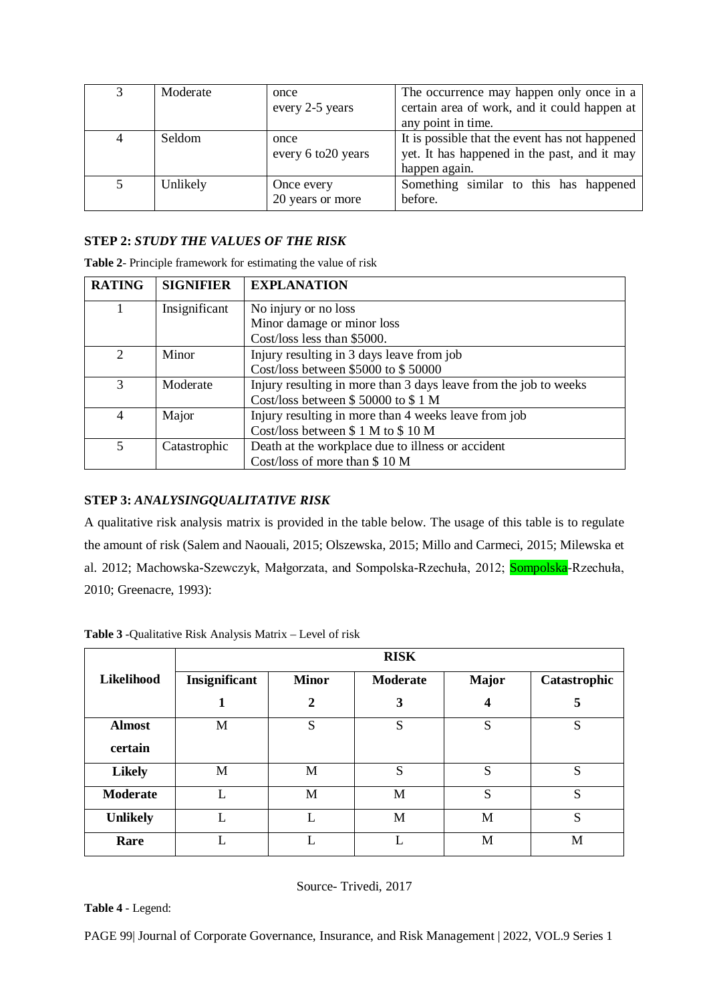| 3 | Moderate | once                           | The occurrence may happen only once in a          |  |  |
|---|----------|--------------------------------|---------------------------------------------------|--|--|
|   |          | every 2-5 years                | certain area of work, and it could happen at      |  |  |
|   |          |                                | any point in time.                                |  |  |
| 4 | Seldom   | once                           | It is possible that the event has not happened    |  |  |
|   |          | every 6 to 20 years            | yet. It has happened in the past, and it may      |  |  |
|   |          |                                | happen again.                                     |  |  |
| 5 | Unlikely | Once every<br>20 years or more | Something similar to this has happened<br>before. |  |  |

#### **STEP 2:** *STUDY THE VALUES OF THE RISK*

| <b>RATING</b>               | <b>SIGNIFIER</b> | <b>EXPLANATION</b>                                               |
|-----------------------------|------------------|------------------------------------------------------------------|
|                             | Insignificant    | No injury or no loss                                             |
|                             |                  | Minor damage or minor loss                                       |
|                             |                  | Cost/loss less than \$5000.                                      |
| $\mathcal{D}_{\mathcal{L}}$ | Minor            | Injury resulting in 3 days leave from job                        |
|                             |                  | Cost/loss between \$5000 to \$50000                              |
| $\mathcal{R}$               | Moderate         | Injury resulting in more than 3 days leave from the job to weeks |
|                             |                  | Cost/loss between \$50000 to \$1 M                               |
| $\overline{4}$              | Major            | Injury resulting in more than 4 weeks leave from job             |
|                             |                  | Cost/loss between \$1 M to \$10 M                                |
| 5                           | Catastrophic     | Death at the workplace due to illness or accident                |
|                             |                  | Cost/loss of more than \$10 M                                    |

**Table 2**- Principle framework for estimating the value of risk

#### **STEP 3:** *ANALYSINGQUALITATIVE RISK*

A qualitative risk analysis matrix is provided in the table below. The usage of this table is to regulate the amount of risk (Salem and Naouali, 2015; Olszewska, 2015; Millo and Carmeci, 2015; Milewska et al. 2012; Machowska-Szewczyk, Małgorzata, and Sompolska-Rzechuła, 2012; Sompolska-Rzechuła, 2010; Greenacre, 1993):

|                 | <b>RISK</b>   |                  |                 |              |              |  |  |
|-----------------|---------------|------------------|-----------------|--------------|--------------|--|--|
| Likelihood      | Insignificant | <b>Minor</b>     | <b>Moderate</b> | <b>Major</b> | Catastrophic |  |  |
|                 |               | $\boldsymbol{2}$ | 3               | 4            | 5            |  |  |
| <b>Almost</b>   | M             | S                | S               | S            | S            |  |  |
| certain         |               |                  |                 |              |              |  |  |
| <b>Likely</b>   | M             | M                | S               | S            | S            |  |  |
| <b>Moderate</b> |               | M                | M               | S            | S            |  |  |
| <b>Unlikely</b> | L             | L                | M               | M            | S            |  |  |
| Rare            |               |                  |                 | M            | M            |  |  |

**Table 3** -Qualitative Risk Analysis Matrix – Level of risk

Source- Trivedi, 2017

**Table 4** - Legend:

PAGE 99| Journal of Corporate Governance, Insurance, and Risk Management | 2022, VOL.9 Series 1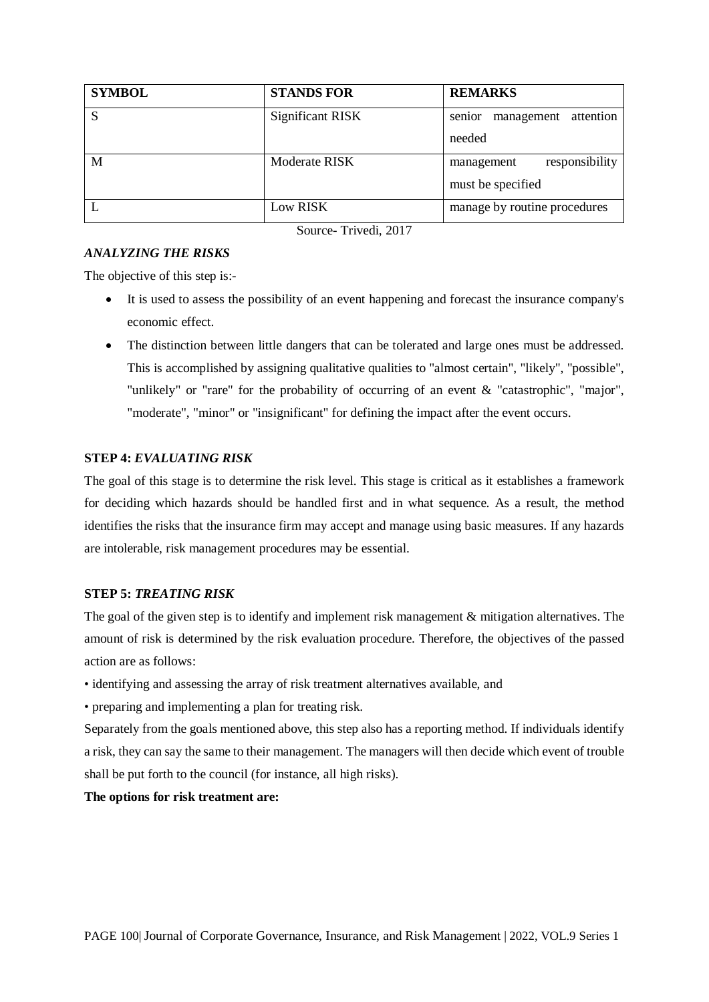| <b>SYMBOL</b> | <b>STANDS FOR</b> | <b>REMARKS</b>                    |
|---------------|-------------------|-----------------------------------|
| S             | Significant RISK  | attention<br>management<br>senior |
|               |                   | needed                            |
| M             | Moderate RISK     | responsibility<br>management      |
|               |                   | must be specified                 |
|               | Low RISK          | manage by routine procedures      |

Source- Trivedi, 2017

## *ANALYZING THE RISKS*

The objective of this step is:-

- It is used to assess the possibility of an event happening and forecast the insurance company's economic effect.
- The distinction between little dangers that can be tolerated and large ones must be addressed. This is accomplished by assigning qualitative qualities to "almost certain", "likely", "possible", "unlikely" or "rare" for the probability of occurring of an event & "catastrophic", "major", "moderate", "minor" or "insignificant" for defining the impact after the event occurs.

#### **STEP 4:** *EVALUATING RISK*

The goal of this stage is to determine the risk level. This stage is critical as it establishes a framework for deciding which hazards should be handled first and in what sequence. As a result, the method identifies the risks that the insurance firm may accept and manage using basic measures. If any hazards are intolerable, risk management procedures may be essential.

#### **STEP 5:** *TREATING RISK*

The goal of the given step is to identify and implement risk management & mitigation alternatives. The amount of risk is determined by the risk evaluation procedure. Therefore, the objectives of the passed action are as follows:

- identifying and assessing the array of risk treatment alternatives available, and
- preparing and implementing a plan for treating risk.

Separately from the goals mentioned above, this step also has a reporting method. If individuals identify a risk, they can say the same to their management. The managers will then decide which event of trouble shall be put forth to the council (for instance, all high risks).

#### **The options for risk treatment are:**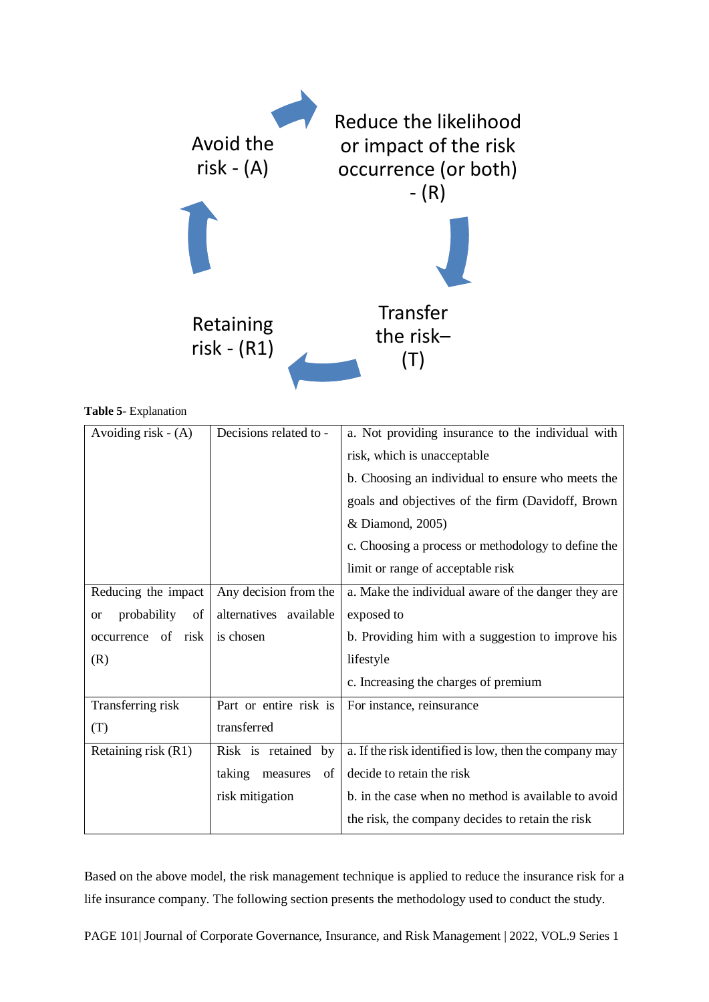

**Table 5**- Explanation

| Avoiding risk $- (A)$          | Decisions related to -   | a. Not providing insurance to the individual with      |  |  |
|--------------------------------|--------------------------|--------------------------------------------------------|--|--|
|                                |                          | risk, which is unacceptable                            |  |  |
|                                |                          | b. Choosing an individual to ensure who meets the      |  |  |
|                                |                          | goals and objectives of the firm (Davidoff, Brown      |  |  |
|                                |                          | & Diamond, 2005)                                       |  |  |
|                                |                          | c. Choosing a process or methodology to define the     |  |  |
|                                |                          | limit or range of acceptable risk                      |  |  |
| Reducing the impact            | Any decision from the    | a. Make the individual aware of the danger they are    |  |  |
| probability<br>of<br><b>or</b> | alternatives available   | exposed to                                             |  |  |
| occurrence of risk             | is chosen                | b. Providing him with a suggestion to improve his      |  |  |
| (R)                            |                          | lifestyle                                              |  |  |
|                                |                          | c. Increasing the charges of premium                   |  |  |
| Transferring risk              | Part or entire risk is   | For instance, reinsurance                              |  |  |
| (T)                            | transferred              |                                                        |  |  |
| Retaining risk (R1)            | Risk is retained by      | a. If the risk identified is low, then the company may |  |  |
|                                | taking<br>measures<br>of | decide to retain the risk                              |  |  |
|                                | risk mitigation          | b. in the case when no method is available to avoid    |  |  |
|                                |                          | the risk, the company decides to retain the risk       |  |  |

Based on the above model, the risk management technique is applied to reduce the insurance risk for a life insurance company. The following section presents the methodology used to conduct the study.

PAGE 101| Journal of Corporate Governance, Insurance, and Risk Management | 2022, VOL.9 Series 1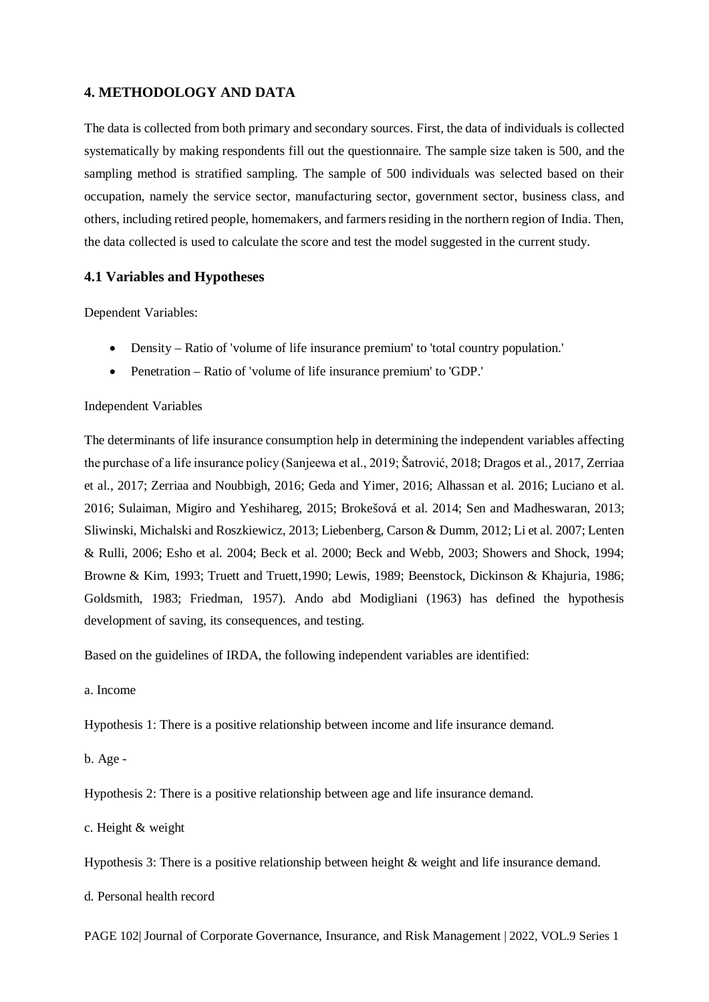### **4. METHODOLOGY AND DATA**

The data is collected from both primary and secondary sources. First, the data of individuals is collected systematically by making respondents fill out the questionnaire. The sample size taken is 500, and the sampling method is stratified sampling. The sample of 500 individuals was selected based on their occupation, namely the service sector, manufacturing sector, government sector, business class, and others, including retired people, homemakers, and farmers residing in the northern region of India. Then, the data collected is used to calculate the score and test the model suggested in the current study.

#### **4.1 Variables and Hypotheses**

Dependent Variables:

- Density Ratio of 'volume of life insurance premium' to 'total country population.'
- Penetration Ratio of 'volume of life insurance premium' to 'GDP.'

#### Independent Variables

The determinants of life insurance consumption help in determining the independent variables affecting the purchase of a life insurance policy (Sanjeewa et al., 2019; Šatrović, 2018; Dragos et al., 2017, Zerriaa et al., 2017; Zerriaa and Noubbigh, 2016; Geda and Yimer, 2016; Alhassan et al. 2016; Luciano et al. 2016; Sulaiman, Migiro and Yeshihareg, 2015; Brokešová et al. 2014; Sen and Madheswaran, 2013; Sliwinski, Michalski and Roszkiewicz, 2013; Liebenberg, Carson & Dumm, 2012; Li et al. 2007; Lenten & Rulli, 2006; Esho et al. 2004; Beck et al. 2000; Beck and Webb, 2003; Showers and Shock, 1994; Browne & Kim, 1993; Truett and Truett,1990; Lewis, 1989; Beenstock, Dickinson & Khajuria, 1986; Goldsmith, 1983; Friedman, 1957). Ando abd Modigliani (1963) has defined the hypothesis development of saving, its consequences, and testing.

Based on the guidelines of IRDA, the following independent variables are identified:

a. Income

Hypothesis 1: There is a positive relationship between income and life insurance demand.

b. Age -

Hypothesis 2: There is a positive relationship between age and life insurance demand.

c. Height & weight

Hypothesis 3: There is a positive relationship between height & weight and life insurance demand.

d. Personal health record

PAGE 102| Journal of Corporate Governance, Insurance, and Risk Management | 2022, VOL.9 Series 1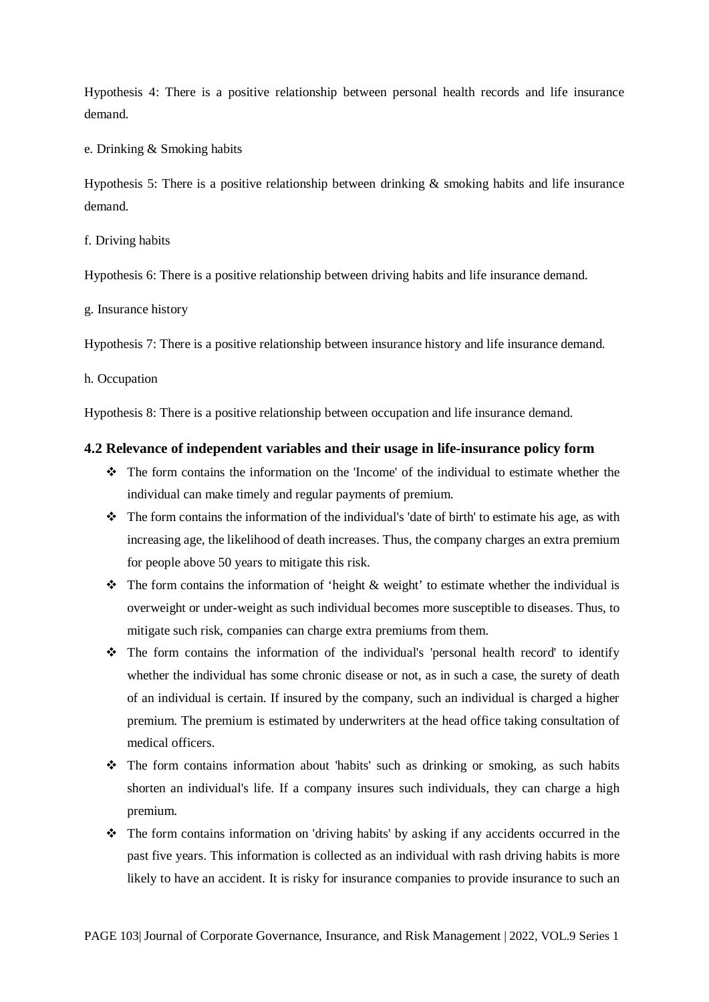Hypothesis 4: There is a positive relationship between personal health records and life insurance demand.

e. Drinking & Smoking habits

Hypothesis 5: There is a positive relationship between drinking & smoking habits and life insurance demand.

f. Driving habits

Hypothesis 6: There is a positive relationship between driving habits and life insurance demand.

g. Insurance history

Hypothesis 7: There is a positive relationship between insurance history and life insurance demand.

h. Occupation

Hypothesis 8: There is a positive relationship between occupation and life insurance demand.

#### **4.2 Relevance of independent variables and their usage in life-insurance policy form**

- The form contains the information on the 'Income' of the individual to estimate whether the individual can make timely and regular payments of premium.
- The form contains the information of the individual's 'date of birth' to estimate his age, as with increasing age, the likelihood of death increases. Thus, the company charges an extra premium for people above 50 years to mitigate this risk.
- $\cdot \cdot$  The form contains the information of 'height & weight' to estimate whether the individual is overweight or under-weight as such individual becomes more susceptible to diseases. Thus, to mitigate such risk, companies can charge extra premiums from them.
- The form contains the information of the individual's 'personal health record' to identify whether the individual has some chronic disease or not, as in such a case, the surety of death of an individual is certain. If insured by the company, such an individual is charged a higher premium. The premium is estimated by underwriters at the head office taking consultation of medical officers.
- The form contains information about 'habits' such as drinking or smoking, as such habits shorten an individual's life. If a company insures such individuals, they can charge a high premium.
- The form contains information on 'driving habits' by asking if any accidents occurred in the past five years. This information is collected as an individual with rash driving habits is more likely to have an accident. It is risky for insurance companies to provide insurance to such an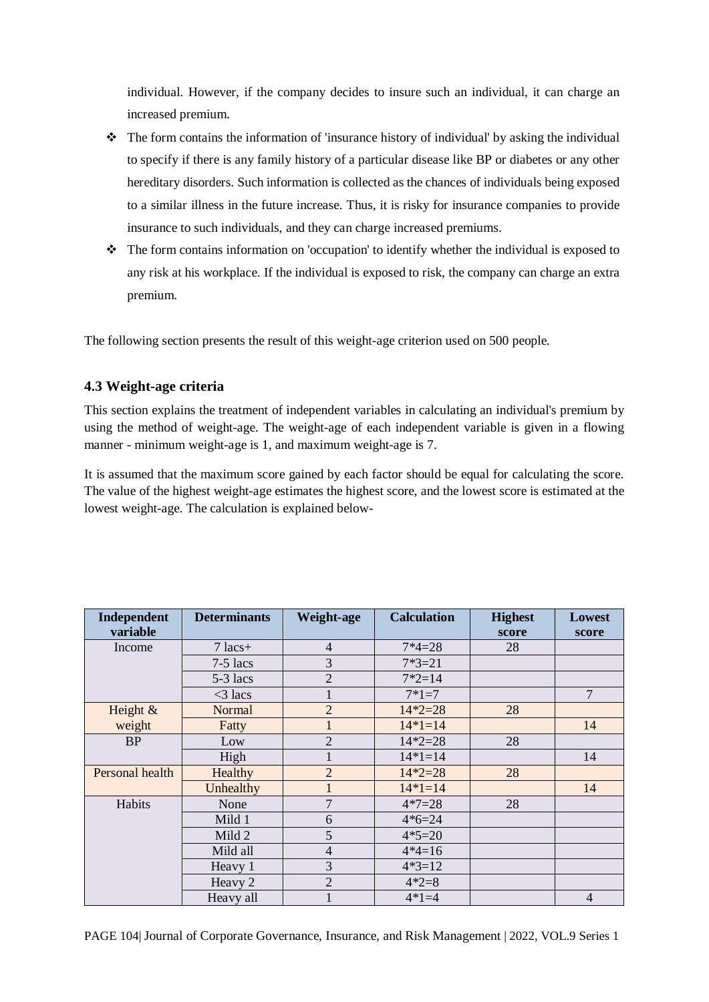individual. However, if the company decides to insure such an individual, it can charge an increased premium.

- $\bullet$  The form contains the information of 'insurance history of individual' by asking the individual to specify if there is any family history of a particular disease like BP or diabetes or any other hereditary disorders. Such information is collected as the chances of individuals being exposed to a similar illness in the future increase. Thus, it is risky for insurance companies to provide insurance to such individuals, and they can charge increased premiums.
- The form contains information on 'occupation' to identify whether the individual is exposed to any risk at his workplace. If the individual is exposed to risk, the company can charge an extra premium.

The following section presents the result of this weight-age criterion used on 500 people.

## **4.3 Weight-age criteria**

This section explains the treatment of independent variables in calculating an individual's premium by using the method of weight-age. The weight-age of each independent variable is given in a flowing manner - minimum weight-age is 1, and maximum weight-age is 7.

It is assumed that the maximum score gained by each factor should be equal for calculating the score. The value of the highest weight-age estimates the highest score, and the lowest score is estimated at the lowest weight-age. The calculation is explained below-

| Independent<br>variable | <b>Determinants</b> | Weight-age     | <b>Calculation</b> | <b>Highest</b><br>score | <b>Lowest</b><br>score |
|-------------------------|---------------------|----------------|--------------------|-------------------------|------------------------|
| Income                  | $7$ lacs+           | $\overline{4}$ | $7*4=28$           | 28                      |                        |
|                         | $7-5$ lacs          | 3              | $7*3=21$           |                         |                        |
|                         | $5-3$ lacs          | $\overline{2}$ | $7*2=14$           |                         |                        |
|                         | $<$ 3 lacs          |                | $7*1=7$            |                         | $\overline{7}$         |
| Height $\&$             | Normal              | $\overline{2}$ | $14*2=28$          | 28                      |                        |
| weight                  | Fatty               |                | $14*1=14$          |                         | 14                     |
| <b>BP</b>               | Low                 | $\overline{2}$ | $14*2=28$          | 28                      |                        |
|                         | High                |                | $14*1=14$          |                         | 14                     |
| Personal health         | Healthy             | $\overline{2}$ | $14*2=28$          | 28                      |                        |
|                         | Unhealthy           |                | $14*1=14$          |                         | 14                     |
| Habits                  | None                | 7              | $4*7=28$           | 28                      |                        |
|                         | Mild 1              | 6              | $4*6=24$           |                         |                        |
|                         | Mild 2              | 5              | $4*5=20$           |                         |                        |
|                         | Mild all            | $\overline{4}$ | $4*4=16$           |                         |                        |
|                         | Heavy 1             | 3              | $4*3=12$           |                         |                        |
|                         | Heavy 2             | $\overline{2}$ | $4*2=8$            |                         |                        |
|                         | Heavy all           |                | $4*1=4$            |                         | $\overline{4}$         |

PAGE 104| Journal of Corporate Governance, Insurance, and Risk Management | 2022, VOL.9 Series 1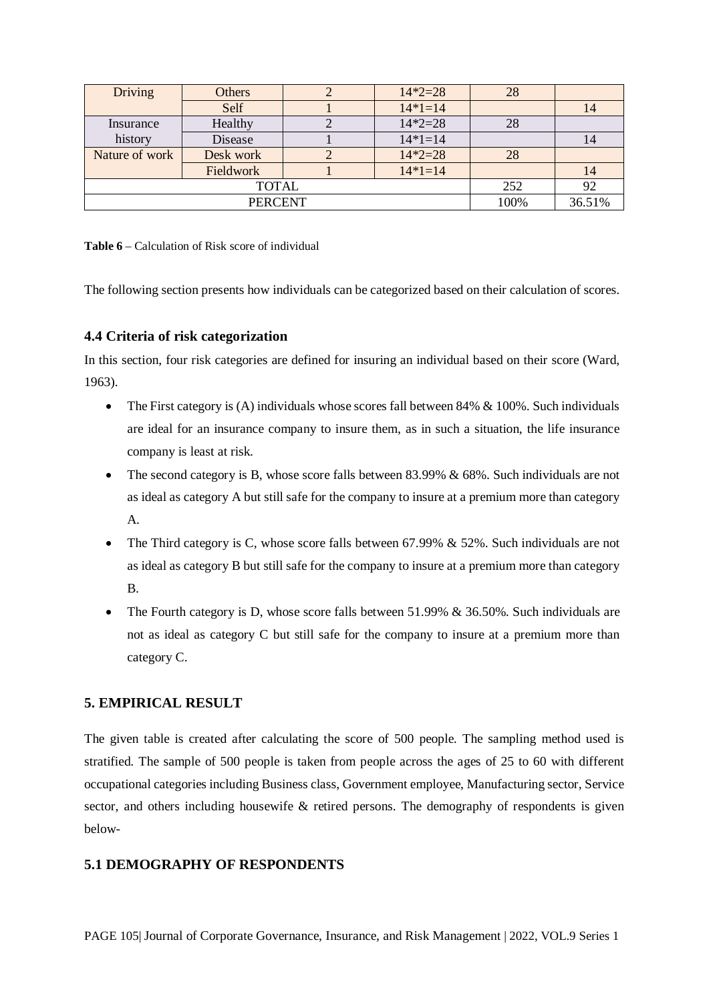| <b>Driving</b> | Others    |    | $14*2=28$ | 28   |        |
|----------------|-----------|----|-----------|------|--------|
|                | Self      |    | $14*1=14$ |      | 14     |
| Insurance      | Healthy   |    | $14*2=28$ | 28   |        |
| history        | Disease   |    | $14*1=14$ |      | 14     |
| Nature of work | Desk work |    | $14*2=28$ | 28   |        |
|                | Fieldwork |    | $14*1=14$ |      | 14     |
|                | 252       | 92 |           |      |        |
| <b>PERCENT</b> |           |    |           | 100% | 36.51% |

**Table 6** – Calculation of Risk score of individual

The following section presents how individuals can be categorized based on their calculation of scores.

### **4.4 Criteria of risk categorization**

In this section, four risk categories are defined for insuring an individual based on their score (Ward, 1963).

- The First category is  $(A)$  individuals whose scores fall between 84%  $\&$  100%. Such individuals are ideal for an insurance company to insure them, as in such a situation, the life insurance company is least at risk.
- The second category is B, whose score falls between 83.99% & 68%. Such individuals are not as ideal as category A but still safe for the company to insure at a premium more than category A.
- The Third category is C, whose score falls between 67.99%  $& 52\%$ . Such individuals are not as ideal as category B but still safe for the company to insure at a premium more than category B.
- The Fourth category is D, whose score falls between 51.99% & 36.50%. Such individuals are not as ideal as category C but still safe for the company to insure at a premium more than category C.

### **5. EMPIRICAL RESULT**

The given table is created after calculating the score of 500 people. The sampling method used is stratified. The sample of 500 people is taken from people across the ages of 25 to 60 with different occupational categories including Business class, Government employee, Manufacturing sector, Service sector, and others including housewife & retired persons. The demography of respondents is given below-

### **5.1 DEMOGRAPHY OF RESPONDENTS**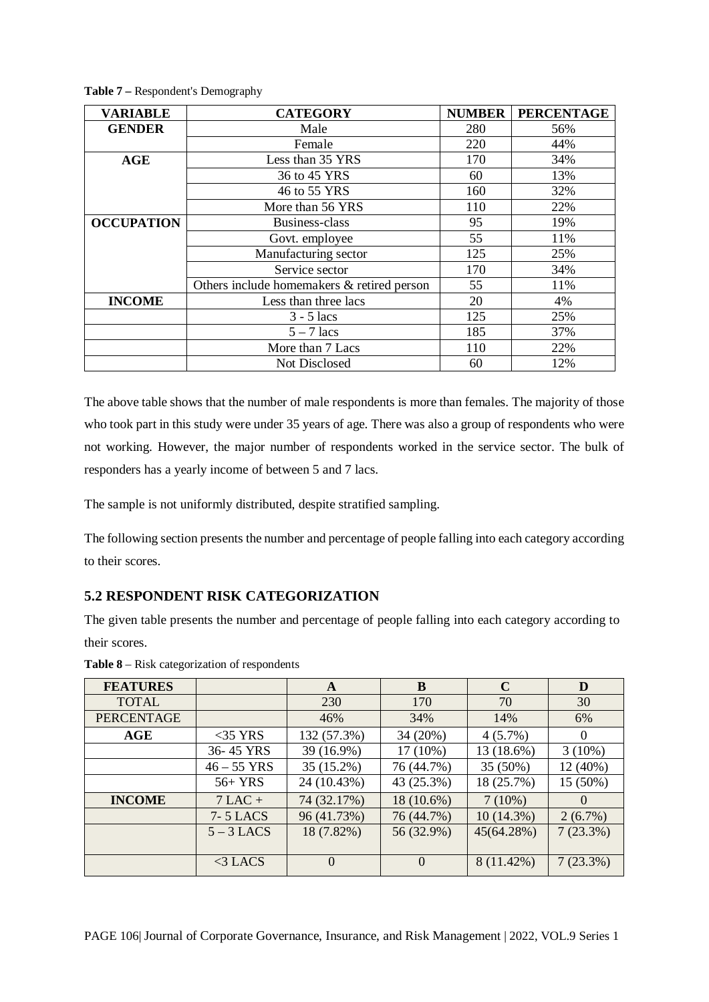| <b>VARIABLE</b>   | <b>CATEGORY</b>                            | <b>NUMBER</b> | <b>PERCENTAGE</b> |
|-------------------|--------------------------------------------|---------------|-------------------|
| <b>GENDER</b>     | Male                                       | 280           | 56%               |
|                   | Female                                     | 220           | 44%               |
| AGE               | Less than 35 YRS                           | 170           | 34%               |
|                   | 36 to 45 YRS                               | 60            | 13%               |
|                   | 46 to 55 YRS                               | 160           | 32%               |
|                   | More than 56 YRS                           | 110           | 22%               |
| <b>OCCUPATION</b> | Business-class                             |               | 19%               |
|                   | Govt. employee                             | 55            | 11%               |
|                   | Manufacturing sector                       | 125           | 25%               |
|                   | Service sector                             | 170           | 34%               |
|                   | Others include homemakers & retired person | 55            | 11%               |
| <b>INCOME</b>     | Less than three lacs                       | 20            | 4%                |
|                   | $3 - 5$ lacs                               | 125           | 25%               |
|                   | $5 - 7$ lacs                               | 185           | 37%               |
|                   | More than 7 Lacs                           | 110           | 22%               |
|                   | Not Disclosed                              | 60            | 12%               |

**Table 7 –** Respondent's Demography

The above table shows that the number of male respondents is more than females. The majority of those who took part in this study were under 35 years of age. There was also a group of respondents who were not working. However, the major number of respondents worked in the service sector. The bulk of responders has a yearly income of between 5 and 7 lacs.

The sample is not uniformly distributed, despite stratified sampling.

The following section presents the number and percentage of people falling into each category according to their scores.

# **5.2 RESPONDENT RISK CATEGORIZATION**

The given table presents the number and percentage of people falling into each category according to their scores.

| <b>FEATURES</b>   |                 | A              | B          | $\mathbf C$ | D                |
|-------------------|-----------------|----------------|------------|-------------|------------------|
| <b>TOTAL</b>      |                 | 230            | 170        | 70          | 30               |
| <b>PERCENTAGE</b> |                 | 46%            | 34%        | 14%         | 6%               |
| AGE               | $<$ 35 YRS      | 132 (57.3%)    | 34 (20%)   | $4(5.7\%)$  | $\Omega$         |
|                   | 36-45 YRS       | 39 (16.9%)     | $17(10\%)$ | 13 (18.6%)  | $3(10\%)$        |
|                   | $46 - 55$ YRS   | 35 (15.2%)     | 76 (44.7%) | 35 (50%)    | 12 (40%)         |
|                   | $56+YRS$        | 24 (10.43%)    | 43 (25.3%) | 18 (25.7%)  | 15 (50%)         |
| <b>INCOME</b>     | $7$ LAC +       | 74 (32.17%)    | 18 (10.6%) | 7(10%)      | $\left( \right)$ |
|                   | <b>7-5 LACS</b> | 96 (41.73%)    | 76 (44.7%) | 10(14.3%)   | 2(6.7%)          |
|                   | $5 - 3$ LACS    | 18 (7.82%)     | 56 (32.9%) | 45(64.28%)  | 7(23.3%)         |
|                   |                 |                |            |             |                  |
|                   | $<$ 3 LACS      | $\overline{0}$ | $\Omega$   | 8 (11.42%)  | 7(23.3%)         |

**Table 8** – Risk categorization of respondents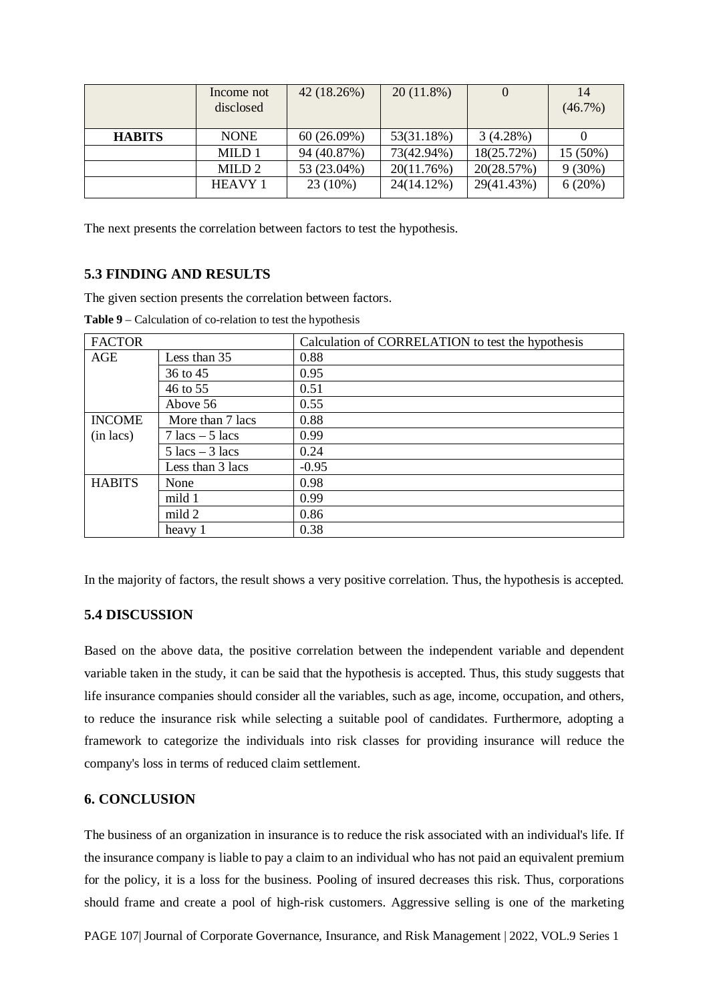|               | Income not<br>disclosed | 42 (18.26%) | $20(11.8\%)$ |            | 14<br>$(46.7\%)$ |
|---------------|-------------------------|-------------|--------------|------------|------------------|
| <b>HABITS</b> | <b>NONE</b>             | 60(26.09%)  | 53(31.18%)   | 3(4.28%)   |                  |
|               | MILD 1                  | 94 (40.87%) | 73(42.94%)   | 18(25.72%) | 15 (50%)         |
|               | MILD <sub>2</sub>       | 53 (23.04%) | 20(11.76%)   | 20(28.57%) | $9(30\%)$        |
|               | <b>HEAVY 1</b>          | $23(10\%)$  | 24(14.12%)   | 29(41.43%) | 6(20%)           |

The next presents the correlation between factors to test the hypothesis.

### **5.3 FINDING AND RESULTS**

The given section presents the correlation between factors.

| <b>FACTOR</b>         |                                   | Calculation of CORRELATION to test the hypothesis |
|-----------------------|-----------------------------------|---------------------------------------------------|
| AGE                   | Less than 35                      | 0.88                                              |
|                       | 36 to 45                          | 0.95                                              |
|                       | 46 to 55                          | 0.51                                              |
|                       | Above 56                          | 0.55                                              |
| <b>INCOME</b>         | More than 7 lacs                  | 0.88                                              |
| $(in \, \text{lacs})$ | $7 \text{ lacs} - 5 \text{ lacs}$ | 0.99                                              |
|                       | $5 \text{ lacs} - 3 \text{ lacs}$ | 0.24                                              |
|                       | Less than 3 lacs                  | $-0.95$                                           |
| <b>HABITS</b>         | None                              | 0.98                                              |
|                       | mild 1                            | 0.99                                              |
|                       | mild 2                            | 0.86                                              |
|                       | heavy 1                           | 0.38                                              |

In the majority of factors, the result shows a very positive correlation. Thus, the hypothesis is accepted.

#### **5.4 DISCUSSION**

Based on the above data, the positive correlation between the independent variable and dependent variable taken in the study, it can be said that the hypothesis is accepted. Thus, this study suggests that life insurance companies should consider all the variables, such as age, income, occupation, and others, to reduce the insurance risk while selecting a suitable pool of candidates. Furthermore, adopting a framework to categorize the individuals into risk classes for providing insurance will reduce the company's loss in terms of reduced claim settlement.

#### **6. CONCLUSION**

The business of an organization in insurance is to reduce the risk associated with an individual's life. If the insurance company is liable to pay a claim to an individual who has not paid an equivalent premium for the policy, it is a loss for the business. Pooling of insured decreases this risk. Thus, corporations should frame and create a pool of high-risk customers. Aggressive selling is one of the marketing

PAGE 107| Journal of Corporate Governance, Insurance, and Risk Management | 2022, VOL.9 Series 1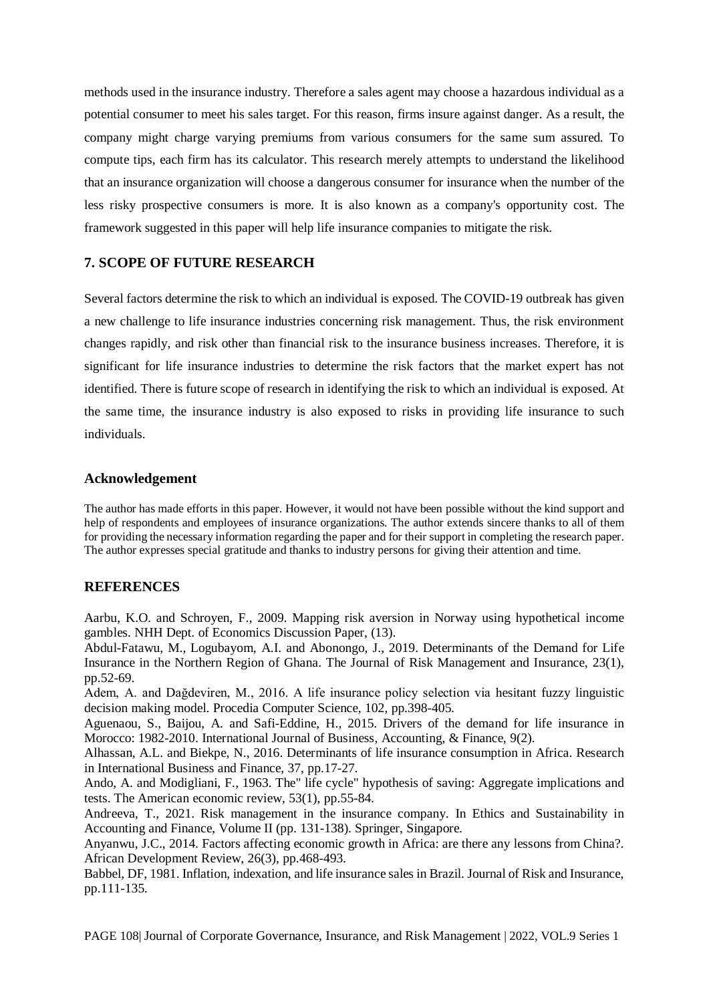methods used in the insurance industry. Therefore a sales agent may choose a hazardous individual as a potential consumer to meet his sales target. For this reason, firms insure against danger. As a result, the company might charge varying premiums from various consumers for the same sum assured. To compute tips, each firm has its calculator. This research merely attempts to understand the likelihood that an insurance organization will choose a dangerous consumer for insurance when the number of the less risky prospective consumers is more. It is also known as a company's opportunity cost. The framework suggested in this paper will help life insurance companies to mitigate the risk.

#### **7. SCOPE OF FUTURE RESEARCH**

Several factors determine the risk to which an individual is exposed. The COVID-19 outbreak has given a new challenge to life insurance industries concerning risk management. Thus, the risk environment changes rapidly, and risk other than financial risk to the insurance business increases. Therefore, it is significant for life insurance industries to determine the risk factors that the market expert has not identified. There is future scope of research in identifying the risk to which an individual is exposed. At the same time, the insurance industry is also exposed to risks in providing life insurance to such individuals.

#### **Acknowledgement**

The author has made efforts in this paper. However, it would not have been possible without the kind support and help of respondents and employees of insurance organizations. The author extends sincere thanks to all of them for providing the necessary information regarding the paper and for their support in completing the research paper. The author expresses special gratitude and thanks to industry persons for giving their attention and time.

#### **REFERENCES**

Aarbu, K.O. and Schroyen, F., 2009. Mapping risk aversion in Norway using hypothetical income gambles. NHH Dept. of Economics Discussion Paper, (13).

Abdul-Fatawu, M., Logubayom, A.I. and Abonongo, J., 2019. Determinants of the Demand for Life Insurance in the Northern Region of Ghana. The Journal of Risk Management and Insurance, 23(1), pp.52-69.

Adem, A. and Dağdeviren, M., 2016. A life insurance policy selection via hesitant fuzzy linguistic decision making model. Procedia Computer Science, 102, pp.398-405.

Aguenaou, S., Baijou, A. and Safi-Eddine, H., 2015. Drivers of the demand for life insurance in Morocco: 1982-2010. International Journal of Business, Accounting, & Finance, 9(2).

Alhassan, A.L. and Biekpe, N., 2016. Determinants of life insurance consumption in Africa. Research in International Business and Finance, 37, pp.17-27.

Ando, A. and Modigliani, F., 1963. The" life cycle" hypothesis of saving: Aggregate implications and tests. The American economic review, 53(1), pp.55-84.

Andreeva, T., 2021. Risk management in the insurance company. In Ethics and Sustainability in Accounting and Finance, Volume II (pp. 131-138). Springer, Singapore.

Anyanwu, J.C., 2014. Factors affecting economic growth in Africa: are there any lessons from China?. African Development Review, 26(3), pp.468-493.

Babbel, DF, 1981. Inflation, indexation, and life insurance sales in Brazil. Journal of Risk and Insurance, pp.111-135.

PAGE 108| Journal of Corporate Governance, Insurance, and Risk Management | 2022, VOL.9 Series 1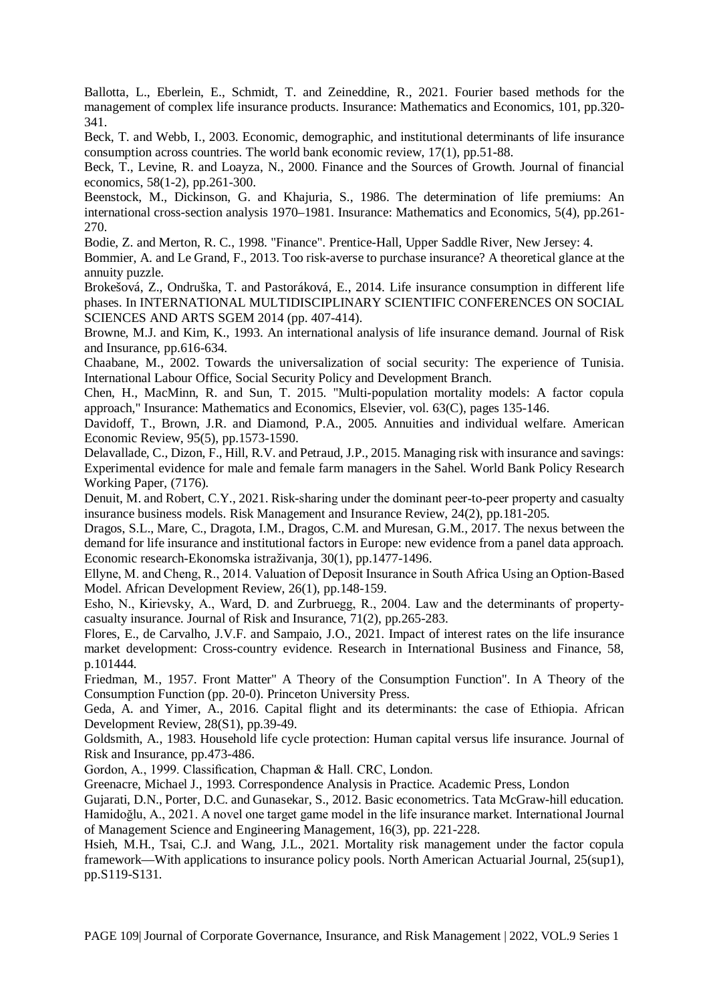Ballotta, L., Eberlein, E., Schmidt, T. and Zeineddine, R., 2021. Fourier based methods for the management of complex life insurance products. Insurance: Mathematics and Economics, 101, pp.320- 341.

Beck, T. and Webb, I., 2003. Economic, demographic, and institutional determinants of life insurance consumption across countries. The world bank economic review, 17(1), pp.51-88.

Beck, T., Levine, R. and Loayza, N., 2000. Finance and the Sources of Growth. Journal of financial economics, 58(1-2), pp.261-300.

Beenstock, M., Dickinson, G. and Khajuria, S., 1986. The determination of life premiums: An international cross-section analysis 1970–1981. Insurance: Mathematics and Economics, 5(4), pp.261- 270.

Bodie, Z. and Merton, R. C., 1998. "Finance". Prentice-Hall, Upper Saddle River, New Jersey: 4.

Bommier, A. and Le Grand, F., 2013. Too risk-averse to purchase insurance? A theoretical glance at the annuity puzzle.

Brokešová, Z., Ondruška, T. and Pastoráková, E., 2014. Life insurance consumption in different life phases. In INTERNATIONAL MULTIDISCIPLINARY SCIENTIFIC CONFERENCES ON SOCIAL SCIENCES AND ARTS SGEM 2014 (pp. 407-414).

Browne, M.J. and Kim, K., 1993. An international analysis of life insurance demand. Journal of Risk and Insurance, pp.616-634.

Chaabane, M., 2002. Towards the universalization of social security: The experience of Tunisia. International Labour Office, Social Security Policy and Development Branch.

Chen, H., MacMinn, R. and Sun, T. 2015. "Multi-population mortality models: A factor copula approach," Insurance: Mathematics and Economics, Elsevier, vol. 63(C), pages 135-146.

Davidoff, T., Brown, J.R. and Diamond, P.A., 2005. Annuities and individual welfare. American Economic Review, 95(5), pp.1573-1590.

Delavallade, C., Dizon, F., Hill, R.V. and Petraud, J.P., 2015. Managing risk with insurance and savings: Experimental evidence for male and female farm managers in the Sahel. World Bank Policy Research Working Paper, (7176).

Denuit, M. and Robert, C.Y., 2021. Risk-sharing under the dominant peer-to-peer property and casualty insurance business models. Risk Management and Insurance Review, 24(2), pp.181-205.

Dragos, S.L., Mare, C., Dragota, I.M., Dragos, C.M. and Muresan, G.M., 2017. The nexus between the demand for life insurance and institutional factors in Europe: new evidence from a panel data approach. Economic research-Ekonomska istraživanja, 30(1), pp.1477-1496.

Ellyne, M. and Cheng, R., 2014. Valuation of Deposit Insurance in South Africa Using an Option‐Based Model. African Development Review, 26(1), pp.148-159.

Esho, N., Kirievsky, A., Ward, D. and Zurbruegg, R., 2004. Law and the determinants of property‐ casualty insurance. Journal of Risk and Insurance, 71(2), pp.265-283.

Flores, E., de Carvalho, J.V.F. and Sampaio, J.O., 2021. Impact of interest rates on the life insurance market development: Cross-country evidence. Research in International Business and Finance, 58, p.101444.

Friedman, M., 1957. Front Matter" A Theory of the Consumption Function". In A Theory of the Consumption Function (pp. 20-0). Princeton University Press.

Geda, A. and Yimer, A., 2016. Capital flight and its determinants: the case of Ethiopia. African Development Review, 28(S1), pp.39-49.

Goldsmith, A., 1983. Household life cycle protection: Human capital versus life insurance. Journal of Risk and Insurance, pp.473-486.

Gordon, A., 1999. Classification, Chapman & Hall. CRC, London.

Greenacre, Michael J., 1993. Correspondence Analysis in Practice. Academic Press, London

Gujarati, D.N., Porter, D.C. and Gunasekar, S., 2012. Basic econometrics. Tata McGraw-hill education. Hamidoğlu, A., 2021. A novel one target game model in the life insurance market. International Journal of Management Science and Engineering Management, 16(3), pp. 221-228.

Hsieh, M.H., Tsai, C.J. and Wang, J.L., 2021. Mortality risk management under the factor copula framework—With applications to insurance policy pools. North American Actuarial Journal, 25(sup1), pp.S119-S131.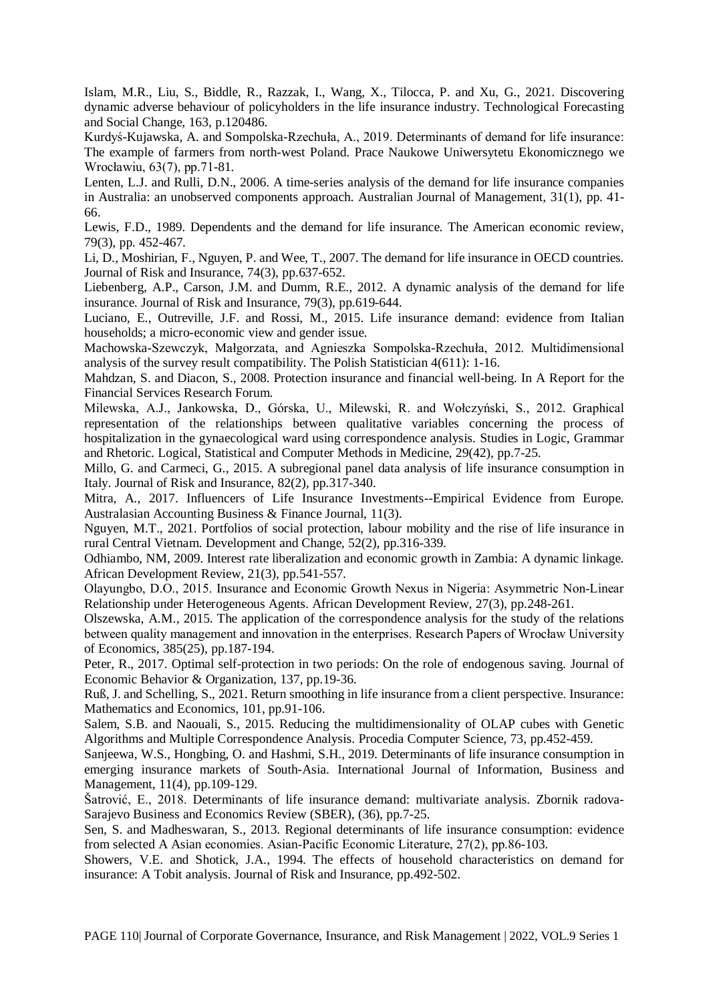Islam, M.R., Liu, S., Biddle, R., Razzak, I., Wang, X., Tilocca, P. and Xu, G., 2021. Discovering dynamic adverse behaviour of policyholders in the life insurance industry. Technological Forecasting and Social Change, 163, p.120486.

Kurdyś-Kujawska, A. and Sompolska-Rzechuła, A., 2019. Determinants of demand for life insurance: The example of farmers from north-west Poland. Prace Naukowe Uniwersytetu Ekonomicznego we Wrocławiu, 63(7), pp.71-81.

Lenten, L.J. and Rulli, D.N., 2006. A time-series analysis of the demand for life insurance companies in Australia: an unobserved components approach. Australian Journal of Management, 31(1), pp. 41- 66.

Lewis, F.D., 1989. Dependents and the demand for life insurance. The American economic review, 79(3), pp. 452-467.

Li, D., Moshirian, F., Nguyen, P. and Wee, T., 2007. The demand for life insurance in OECD countries. Journal of Risk and Insurance, 74(3), pp.637-652.

Liebenberg, A.P., Carson, J.M. and Dumm, R.E., 2012. A dynamic analysis of the demand for life insurance. Journal of Risk and Insurance, 79(3), pp.619-644.

Luciano, E., Outreville, J.F. and Rossi, M., 2015. Life insurance demand: evidence from Italian households; a micro-economic view and gender issue.

Machowska-Szewczyk, Małgorzata, and Agnieszka Sompolska-Rzechuła, 2012. Multidimensional analysis of the survey result compatibility. The Polish Statistician 4(611): 1-16.

Mahdzan, S. and Diacon, S., 2008. Protection insurance and financial well-being. In A Report for the Financial Services Research Forum.

Milewska, A.J., Jankowska, D., Górska, U., Milewski, R. and Wołczyński, S., 2012. Graphical representation of the relationships between qualitative variables concerning the process of hospitalization in the gynaecological ward using correspondence analysis. Studies in Logic, Grammar and Rhetoric. Logical, Statistical and Computer Methods in Medicine, 29(42), pp.7-25.

Millo, G. and Carmeci, G., 2015. A subregional panel data analysis of life insurance consumption in Italy. Journal of Risk and Insurance, 82(2), pp.317-340.

Mitra, A., 2017. Influencers of Life Insurance Investments--Empirical Evidence from Europe. Australasian Accounting Business & Finance Journal, 11(3).

Nguyen, M.T., 2021. Portfolios of social protection, labour mobility and the rise of life insurance in rural Central Vietnam. Development and Change, 52(2), pp.316-339.

Odhiambo, NM, 2009. Interest rate liberalization and economic growth in Zambia: A dynamic linkage. African Development Review, 21(3), pp.541-557.

Olayungbo, D.O., 2015. Insurance and Economic Growth Nexus in Nigeria: Asymmetric Non‐Linear Relationship under Heterogeneous Agents. African Development Review, 27(3), pp.248-261.

Olszewska, A.M., 2015. The application of the correspondence analysis for the study of the relations between quality management and innovation in the enterprises. Research Papers of Wrocław University of Economics, 385(25), pp.187-194.

Peter, R., 2017. Optimal self-protection in two periods: On the role of endogenous saving. Journal of Economic Behavior & Organization, 137, pp.19-36.

Ruß, J. and Schelling, S., 2021. Return smoothing in life insurance from a client perspective. Insurance: Mathematics and Economics, 101, pp.91-106.

Salem, S.B. and Naouali, S., 2015. Reducing the multidimensionality of OLAP cubes with Genetic Algorithms and Multiple Correspondence Analysis. Procedia Computer Science, 73, pp.452-459.

Sanjeewa, W.S., Hongbing, O. and Hashmi, S.H., 2019. Determinants of life insurance consumption in emerging insurance markets of South-Asia. International Journal of Information, Business and Management, 11(4), pp.109-129.

Šatrović, E., 2018. Determinants of life insurance demand: multivariate analysis. Zbornik radova-Sarajevo Business and Economics Review (SBER), (36), pp.7-25.

Sen, S. and Madheswaran, S., 2013. Regional determinants of life insurance consumption: evidence from selected A Asian economies. Asian‐Pacific Economic Literature, 27(2), pp.86-103.

Showers, V.E. and Shotick, J.A., 1994. The effects of household characteristics on demand for insurance: A Tobit analysis. Journal of Risk and Insurance, pp.492-502.